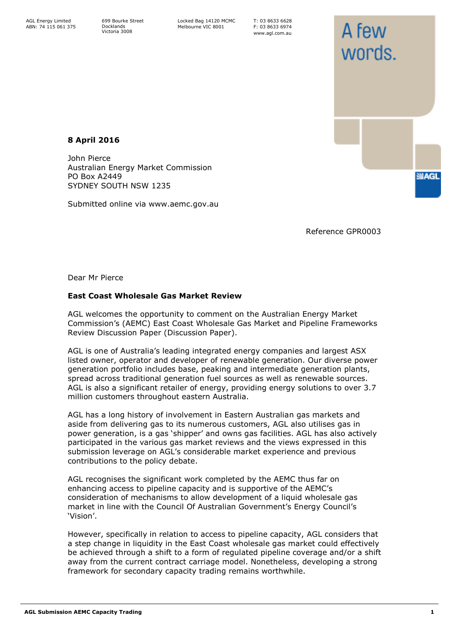699 Bourke Street Docklands Victoria 3008

Locked Bag 14120 MCMC Melbourne VIC 8001

T: 03 8633 6628 F: 03 8633 6974 www.agl.com.au

# **8 April 2016**

John Pierce Australian Energy Market Commission PO Box A2449 SYDNEY SOUTH NSW 1235

Submitted online via www.aemc.gov.au

Reference GPR0003

A few

words.

**SMAGL** 

Dear Mr Pierce

## **East Coast Wholesale Gas Market Review**

AGL welcomes the opportunity to comment on the Australian Energy Market Commission's (AEMC) East Coast Wholesale Gas Market and Pipeline Frameworks Review Discussion Paper (Discussion Paper).

AGL is one of Australia's leading integrated energy companies and largest ASX listed owner, operator and developer of renewable generation. Our diverse power generation portfolio includes base, peaking and intermediate generation plants, spread across traditional generation fuel sources as well as renewable sources. AGL is also a significant retailer of energy, providing energy solutions to over 3.7 million customers throughout eastern Australia.

AGL has a long history of involvement in Eastern Australian gas markets and aside from delivering gas to its numerous customers, AGL also utilises gas in power generation, is a gas 'shipper' and owns gas facilities. AGL has also actively participated in the various gas market reviews and the views expressed in this submission leverage on AGL's considerable market experience and previous contributions to the policy debate.

AGL recognises the significant work completed by the AEMC thus far on enhancing access to pipeline capacity and is supportive of the AEMC's consideration of mechanisms to allow development of a liquid wholesale gas market in line with the Council Of Australian Government's Energy Council's 'Vision'.

However, specifically in relation to access to pipeline capacity, AGL considers that a step change in liquidity in the East Coast wholesale gas market could effectively be achieved through a shift to a form of regulated pipeline coverage and/or a shift away from the current contract carriage model. Nonetheless, developing a strong framework for secondary capacity trading remains worthwhile.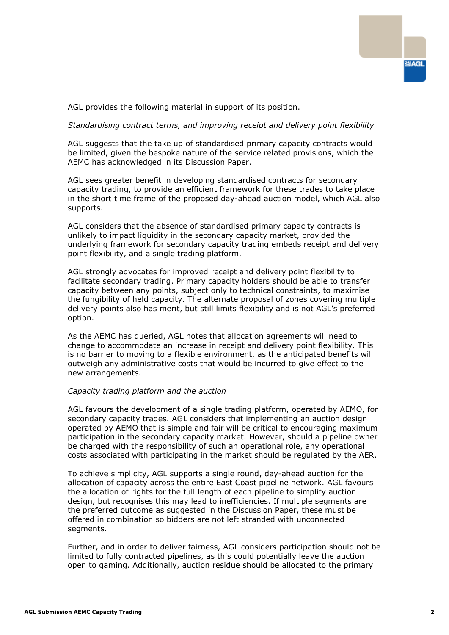

AGL provides the following material in support of its position.

*Standardising contract terms, and improving receipt and delivery point flexibility*

AGL suggests that the take up of standardised primary capacity contracts would be limited, given the bespoke nature of the service related provisions, which the AEMC has acknowledged in its Discussion Paper.

AGL sees greater benefit in developing standardised contracts for secondary capacity trading, to provide an efficient framework for these trades to take place in the short time frame of the proposed day-ahead auction model, which AGL also supports.

AGL considers that the absence of standardised primary capacity contracts is unlikely to impact liquidity in the secondary capacity market, provided the underlying framework for secondary capacity trading embeds receipt and delivery point flexibility, and a single trading platform.

AGL strongly advocates for improved receipt and delivery point flexibility to facilitate secondary trading. Primary capacity holders should be able to transfer capacity between any points, subject only to technical constraints, to maximise the fungibility of held capacity. The alternate proposal of zones covering multiple delivery points also has merit, but still limits flexibility and is not AGL's preferred option.

As the AEMC has queried, AGL notes that allocation agreements will need to change to accommodate an increase in receipt and delivery point flexibility. This is no barrier to moving to a flexible environment, as the anticipated benefits will outweigh any administrative costs that would be incurred to give effect to the new arrangements.

### *Capacity trading platform and the auction*

AGL favours the development of a single trading platform, operated by AEMO, for secondary capacity trades. AGL considers that implementing an auction design operated by AEMO that is simple and fair will be critical to encouraging maximum participation in the secondary capacity market. However, should a pipeline owner be charged with the responsibility of such an operational role, any operational costs associated with participating in the market should be regulated by the AER.

To achieve simplicity, AGL supports a single round, day-ahead auction for the allocation of capacity across the entire East Coast pipeline network. AGL favours the allocation of rights for the full length of each pipeline to simplify auction design, but recognises this may lead to inefficiencies. If multiple segments are the preferred outcome as suggested in the Discussion Paper, these must be offered in combination so bidders are not left stranded with unconnected segments.

Further, and in order to deliver fairness, AGL considers participation should not be limited to fully contracted pipelines, as this could potentially leave the auction open to gaming. Additionally, auction residue should be allocated to the primary